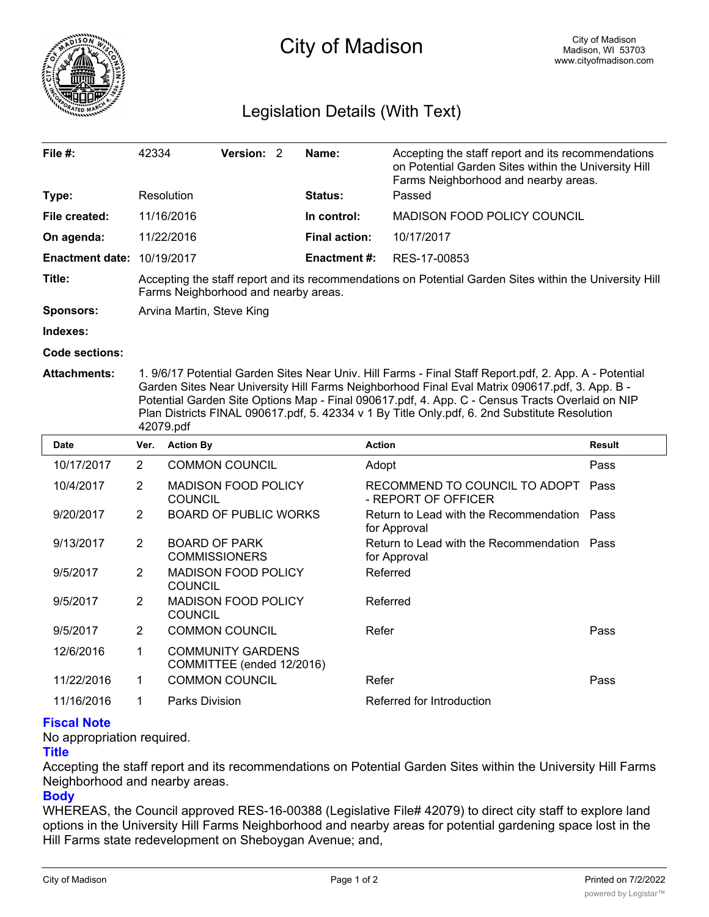

# City of Madison

## Legislation Details (With Text)

| File $#$ :             | 42334                                                                                                                                           | Version: 2 |  | Name:                | Accepting the staff report and its recommendations<br>on Potential Garden Sites within the University Hill |  |  |
|------------------------|-------------------------------------------------------------------------------------------------------------------------------------------------|------------|--|----------------------|------------------------------------------------------------------------------------------------------------|--|--|
|                        |                                                                                                                                                 |            |  |                      | Farms Neighborhood and nearby areas.                                                                       |  |  |
| Type:                  | Resolution                                                                                                                                      |            |  | <b>Status:</b>       | Passed                                                                                                     |  |  |
| File created:          | 11/16/2016                                                                                                                                      |            |  | In control:          | <b>MADISON FOOD POLICY COUNCIL</b>                                                                         |  |  |
| On agenda:             | 11/22/2016                                                                                                                                      |            |  | <b>Final action:</b> | 10/17/2017                                                                                                 |  |  |
| <b>Enactment date:</b> | 10/19/2017                                                                                                                                      |            |  | <b>Enactment #:</b>  | RES-17-00853                                                                                               |  |  |
| Title:                 | Accepting the staff report and its recommendations on Potential Garden Sites within the University Hill<br>Farms Neighborhood and nearby areas. |            |  |                      |                                                                                                            |  |  |
| <b>Sponsors:</b>       | Arvina Martin, Steve King                                                                                                                       |            |  |                      |                                                                                                            |  |  |
| Indexes:               |                                                                                                                                                 |            |  |                      |                                                                                                            |  |  |

**Code sections:**

**Attachments:** 1. 9/6/17 Potential Garden Sites Near Univ. Hill Farms - Final Staff Report.pdf, 2. App. A - Potential Garden Sites Near University Hill Farms Neighborhood Final Eval Matrix 090617.pdf, 3. App. B - Potential Garden Site Options Map - Final 090617.pdf, 4. App. C - Census Tracts Overlaid on NIP Plan Districts FINAL 090617.pdf, 5. 42334 v 1 By Title Only.pdf, 6. 2nd Substitute Resolution 42079.pdf

| <b>Date</b> | Ver.           | <b>Action By</b>                                      | <b>Action</b>                                               | <b>Result</b> |
|-------------|----------------|-------------------------------------------------------|-------------------------------------------------------------|---------------|
| 10/17/2017  | $\overline{2}$ | <b>COMMON COUNCIL</b>                                 | Adopt                                                       | Pass          |
| 10/4/2017   | $\overline{2}$ | <b>MADISON FOOD POLICY</b><br><b>COUNCIL</b>          | RECOMMEND TO COUNCIL TO ADOPT<br>- REPORT OF OFFICER        | Pass          |
| 9/20/2017   | $\overline{2}$ | <b>BOARD OF PUBLIC WORKS</b>                          | Return to Lead with the Recommendation Pass<br>for Approval |               |
| 9/13/2017   | $\overline{2}$ | <b>BOARD OF PARK</b><br><b>COMMISSIONERS</b>          | Return to Lead with the Recommendation Pass<br>for Approval |               |
| 9/5/2017    | $\overline{2}$ | <b>MADISON FOOD POLICY</b><br><b>COUNCIL</b>          | Referred                                                    |               |
| 9/5/2017    | 2              | <b>MADISON FOOD POLICY</b><br><b>COUNCIL</b>          | Referred                                                    |               |
| 9/5/2017    | $\overline{2}$ | <b>COMMON COUNCIL</b>                                 | Refer                                                       | Pass          |
| 12/6/2016   | 1              | <b>COMMUNITY GARDENS</b><br>COMMITTEE (ended 12/2016) |                                                             |               |
| 11/22/2016  | 1              | <b>COMMON COUNCIL</b>                                 | Refer                                                       | Pass          |
| 11/16/2016  |                | Parks Division                                        | Referred for Introduction                                   |               |

### **Fiscal Note**

No appropriation required.

### **Title**

Accepting the staff report and its recommendations on Potential Garden Sites within the University Hill Farms Neighborhood and nearby areas.

### **Body**

WHEREAS, the Council approved RES-16-00388 (Legislative File# 42079) to direct city staff to explore land options in the University Hill Farms Neighborhood and nearby areas for potential gardening space lost in the Hill Farms state redevelopment on Sheboygan Avenue; and,